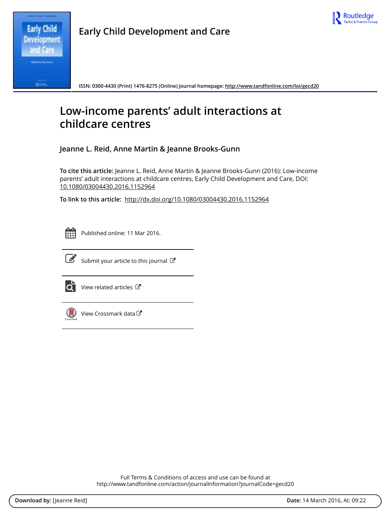

**Early Child Development and Care**

**ISSN: 0300-4430 (Print) 1476-8275 (Online) Journal homepage: http://www.tandfonline.com/loi/gecd20**

# **Low-income parents' adult interactions at childcare centres**

**Jeanne L. Reid, Anne Martin & Jeanne Brooks-Gunn**

**To cite this article:** Jeanne L. Reid, Anne Martin & Jeanne Brooks-Gunn (2016): Low-income parents' adult interactions at childcare centres, Early Child Development and Care, DOI: 10.1080/03004430.2016.1152964

**To link to this article:** http://dx.doi.org/10.1080/03004430.2016.1152964



Published online: 11 Mar 2016.



 $\overrightarrow{S}$  Submit your article to this journal  $\overrightarrow{S}$ 



 $\overrightarrow{Q}$  View related articles  $\overrightarrow{C}$ 



View Crossmark data

Full Terms & Conditions of access and use can be found at http://www.tandfonline.com/action/journalInformation?journalCode=gecd20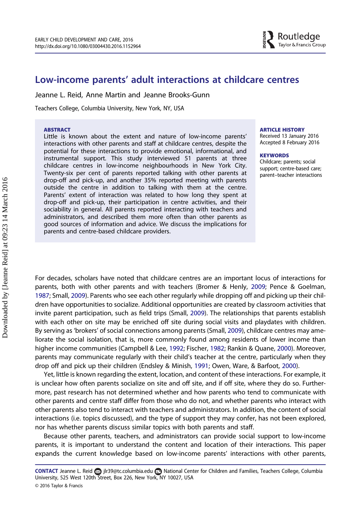## Low-income parents' adult interactions at childcare centres

Jeanne L. Reid, Anne Martin and Jeanne Brooks-Gunn

Teachers College, Columbia University, New York, NY, USA

#### ABSTRACT

Little is known about the extent and nature of low-income parents' interactions with other parents and staff at childcare centres, despite the potential for these interactions to provide emotional, informational, and instrumental support. This study interviewed 51 parents at three childcare centres in low-income neighbourhoods in New York City. Twenty-six per cent of parents reported talking with other parents at drop-off and pick-up, and another 35% reported meeting with parents outside the centre in addition to talking with them at the centre. Parents' extent of interaction was related to how long they spent at drop-off and pick-up, their participation in centre activities, and their sociability in general. All parents reported interacting with teachers and administrators, and described them more often than other parents as good sources of information and advice. We discuss the implications for parents and centre-based childcare providers.

#### **ARTICLE HISTORY**

Received 13 January 2016 Accepted 8 February 2016

#### **KEYWORDS**

Childcare; parents; social support; centre-based care; parent–teacher interactions

For decades, scholars have noted that childcare centres are an important locus of interactions for parents, both with other parents and with teachers (Bromer & Henly, 2009; Pence & Goelman, 1987; Small, 2009). Parents who see each other regularly while dropping off and picking up their children have opportunities to socialize. Additional opportunities are created by classroom activities that invite parent participation, such as field trips (Small, 2009). The relationships that parents establish with each other on site may be enriched off site during social visits and playdates with children. By serving as 'brokers' of social connections among parents (Small, 2009), childcare centres may ameliorate the social isolation, that is, more commonly found among residents of lower income than higher income communities (Campbell & Lee, 1992; Fischer, 1982; Rankin & Quane, 2000). Moreover, parents may communicate regularly with their child's teacher at the centre, particularly when they drop off and pick up their children (Endsley & Minish, 1991; Owen, Ware, & Barfoot, 2000).

Yet, little is known regarding the extent, location, and content of these interactions. For example, it is unclear how often parents socialize on site and off site, and if off site, where they do so. Furthermore, past research has not determined whether and how parents who tend to communicate with other parents and centre staff differ from those who do not, and whether parents who interact with other parents also tend to interact with teachers and administrators. In addition, the content of social interactions (i.e. topics discussed), and the type of support they may confer, has not been explored, nor has whether parents discuss similar topics with both parents and staff.

Because other parents, teachers, and administrators can provide social support to low-income parents, it is important to understand the content and location of their interactions. This paper expands the current knowledge based on low-income parents' interactions with other parents,

<sup>© 2016</sup> Taylor & Francis CONTACT Jeanne L. Reid jlr39@tc.columbia.edu National Center for Children and Families, Teachers College, Columbia University, 525 West 120th Street, Box 226, New York, NY 10027, USA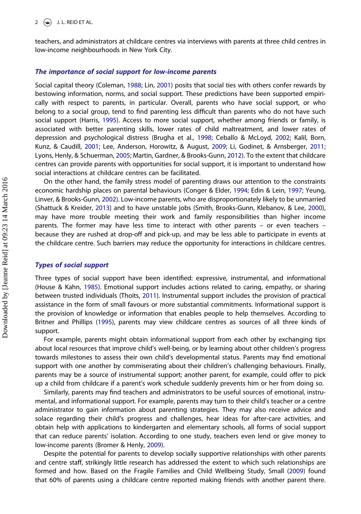teachers, and administrators at childcare centres via interviews with parents at three child centres in low-income neighbourhoods in New York City.

#### The importance of social support for low-income parents

Social capital theory (Coleman, 1988; Lin, 2001) posits that social ties with others confer rewards by bestowing information, norms, and social support. These predictions have been supported empirically with respect to parents, in particular. Overall, parents who have social support, or who belong to a social group, tend to find parenting less difficult than parents who do not have such social support (Harris, 1995). Access to more social support, whether among friends or family, is associated with better parenting skills, lower rates of child maltreatment, and lower rates of depression and psychological distress (Brugha et al., 1998; Ceballo & McLoyd, 2002; Kalil, Born, Kunz, & Caudill, 2001; Lee, Anderson, Horowitz, & August, 2009; Li, Godinet, & Arnsberger, 2011; Lyons, Henly, & Schuerman, 2005; Martin, Gardner, & Brooks-Gunn, 2012). To the extent that childcare centres can provide parents with opportunities for social support, it is important to understand how social interactions at childcare centres can be facilitated.

On the other hand, the family stress model of parenting draws our attention to the constraints economic hardship places on parental behaviours (Conger & Elder, 1994; Edin & Lein, 1997; Yeung, Linver, & Brooks-Gunn, 2002). Low-income parents, who are disproportionately likely to be unmarried (Shattuck & Kreider, 2013) and to have unstable jobs (Smith, Brooks-Gunn, Klebanov, & Lee, 2000), may have more trouble meeting their work and family responsibilities than higher income parents. The former may have less time to interact with other parents – or even teachers – because they are rushed at drop-off and pick-up, and may be less able to participate in events at the childcare centre. Such barriers may reduce the opportunity for interactions in childcare centres.

## Types of social support

Three types of social support have been identified: expressive, instrumental, and informational (House & Kahn, 1985). Emotional support includes actions related to caring, empathy, or sharing between trusted individuals (Thoits, 2011). Instrumental support includes the provision of practical assistance in the form of small favours or more substantial commitments. Informational support is the provision of knowledge or information that enables people to help themselves. According to Britner and Phillips (1995), parents may view childcare centres as sources of all three kinds of support.

For example, parents might obtain informational support from each other by exchanging tips about local resources that improve child's well-being, or by learning about other children's progress towards milestones to assess their own child's developmental status. Parents may find emotional support with one another by commiserating about their children's challenging behaviours. Finally, parents may be a source of instrumental support; another parent, for example, could offer to pick up a child from childcare if a parent's work schedule suddenly prevents him or her from doing so.

Similarly, parents may find teachers and administrators to be useful sources of emotional, instrumental, and informational support. For example, parents may turn to their child's teacher or a centre administrator to gain information about parenting strategies. They may also receive advice and solace regarding their child's progress and challenges, hear ideas for after-care activities, and obtain help with applications to kindergarten and elementary schools, all forms of social support that can reduce parents' isolation. According to one study, teachers even lend or give money to low-income parents (Bromer & Henly, 2009).

Despite the potential for parents to develop socially supportive relationships with other parents and centre staff, strikingly little research has addressed the extent to which such relationships are formed and how. Based on the Fragile Families and Child Wellbeing Study, Small (2009) found that 60% of parents using a childcare centre reported making friends with another parent there.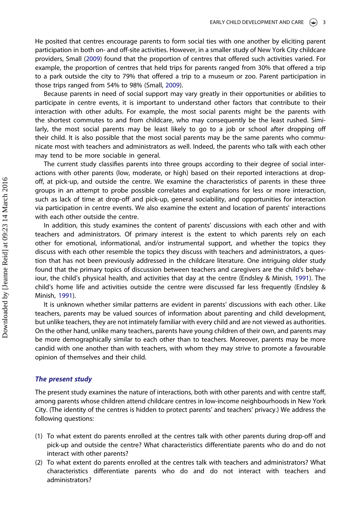He posited that centres encourage parents to form social ties with one another by eliciting parent participation in both on- and off-site activities. However, in a smaller study of New York City childcare providers, Small (2009) found that the proportion of centres that offered such activities varied. For example, the proportion of centres that held trips for parents ranged from 30% that offered a trip to a park outside the city to 79% that offered a trip to a museum or zoo. Parent participation in those trips ranged from 54% to 98% (Small, 2009).

Because parents in need of social support may vary greatly in their opportunities or abilities to participate in centre events, it is important to understand other factors that contribute to their interaction with other adults. For example, the most social parents might be the parents with the shortest commutes to and from childcare, who may consequently be the least rushed. Similarly, the most social parents may be least likely to go to a job or school after dropping off their child. It is also possible that the most social parents may be the same parents who communicate most with teachers and administrators as well. Indeed, the parents who talk with each other may tend to be more sociable in general.

The current study classifies parents into three groups according to their degree of social interactions with other parents (low, moderate, or high) based on their reported interactions at dropoff, at pick-up, and outside the centre. We examine the characteristics of parents in these three groups in an attempt to probe possible correlates and explanations for less or more interaction, such as lack of time at drop-off and pick-up, general sociability, and opportunities for interaction via participation in centre events. We also examine the extent and location of parents' interactions with each other outside the centre.

In addition, this study examines the content of parents' discussions with each other and with teachers and administrators. Of primary interest is the extent to which parents rely on each other for emotional, informational, and/or instrumental support, and whether the topics they discuss with each other resemble the topics they discuss with teachers and administrators, a question that has not been previously addressed in the childcare literature. One intriguing older study found that the primary topics of discussion between teachers and caregivers are the child's behaviour, the child's physical health, and activities that day at the centre (Endsley & Minish, 1991). The child's home life and activities outside the centre were discussed far less frequently (Endsley & Minish, 1991).

It is unknown whether similar patterns are evident in parents' discussions with each other. Like teachers, parents may be valued sources of information about parenting and child development, but unlike teachers, they are not intimately familiar with every child and are not viewed as authorities. On the other hand, unlike many teachers, parents have young children of their own, and parents may be more demographically similar to each other than to teachers. Moreover, parents may be more candid with one another than with teachers, with whom they may strive to promote a favourable opinion of themselves and their child.

#### The present study

The present study examines the nature of interactions, both with other parents and with centre staff, among parents whose children attend childcare centres in low-income neighbourhoods in New York City. (The identity of the centres is hidden to protect parents' and teachers' privacy.) We address the following questions:

- (1) To what extent do parents enrolled at the centres talk with other parents during drop-off and pick-up and outside the centre? What characteristics differentiate parents who do and do not interact with other parents?
- (2) To what extent do parents enrolled at the centres talk with teachers and administrators? What characteristics differentiate parents who do and do not interact with teachers and administrators?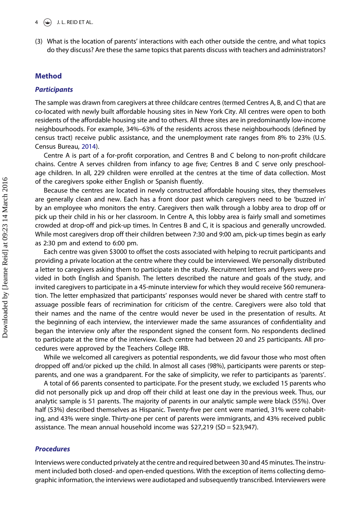(3) What is the location of parents' interactions with each other outside the centre, and what topics do they discuss? Are these the same topics that parents discuss with teachers and administrators?

#### Method

## **Participants**

The sample was drawn from caregivers at three childcare centres (termed Centres A, B, and C) that are co-located with newly built affordable housing sites in New York City. All centres were open to both residents of the affordable housing site and to others. All three sites are in predominantly low-income neighbourhoods. For example, 34%–63% of the residents across these neighbourhoods (defined by census tract) receive public assistance, and the unemployment rate ranges from 8% to 23% (U.S. Census Bureau, 2014).

Centre A is part of a for-profit corporation, and Centres B and C belong to non-profit childcare chains. Centre A serves children from infancy to age five; Centres B and C serve only preschoolage children. In all, 229 children were enrolled at the centres at the time of data collection. Most of the caregivers spoke either English or Spanish fluently.

Because the centres are located in newly constructed affordable housing sites, they themselves are generally clean and new. Each has a front door past which caregivers need to be 'buzzed in' by an employee who monitors the entry. Caregivers then walk through a lobby area to drop off or pick up their child in his or her classroom. In Centre A, this lobby area is fairly small and sometimes crowded at drop-off and pick-up times. In Centres B and C, it is spacious and generally uncrowded. While most caregivers drop off their children between 7:30 and 9:00 am, pick-up times begin as early as 2:30 pm and extend to 6:00 pm.

Each centre was given \$3000 to offset the costs associated with helping to recruit participants and providing a private location at the centre where they could be interviewed. We personally distributed a letter to caregivers asking them to participate in the study. Recruitment letters and flyers were provided in both English and Spanish. The letters described the nature and goals of the study, and invited caregivers to participate in a 45-minute interview for which they would receive \$60 remuneration. The letter emphasized that participants' responses would never be shared with centre staff to assuage possible fears of recrimination for criticism of the centre. Caregivers were also told that their names and the name of the centre would never be used in the presentation of results. At the beginning of each interview, the interviewer made the same assurances of confidentiality and began the interview only after the respondent signed the consent form. No respondents declined to participate at the time of the interview. Each centre had between 20 and 25 participants. All procedures were approved by the Teachers College IRB.

While we welcomed all caregivers as potential respondents, we did favour those who most often dropped off and/or picked up the child. In almost all cases (98%), participants were parents or stepparents, and one was a grandparent. For the sake of simplicity, we refer to participants as 'parents'.

A total of 66 parents consented to participate. For the present study, we excluded 15 parents who did not personally pick up and drop off their child at least one day in the previous week. Thus, our analytic sample is 51 parents. The majority of parents in our analytic sample were black (55%). Over half (53%) described themselves as Hispanic. Twenty-five per cent were married, 31% were cohabiting, and 43% were single. Thirty-one per cent of parents were immigrants, and 43% received public assistance. The mean annual household income was \$27,219 (SD = \$23,947).

## Procedures

Interviews were conducted privately at the centre and required between 30 and 45 minutes. The instrument included both closed- and open-ended questions. With the exception of items collecting demographic information, the interviews were audiotaped and subsequently transcribed. Interviewers were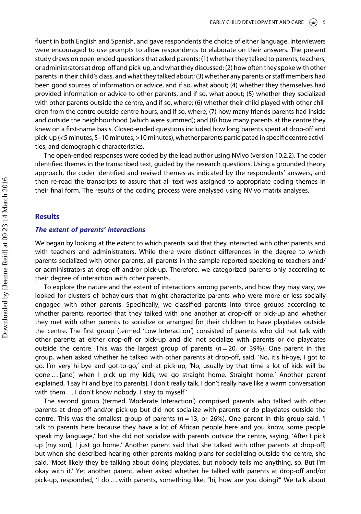fluent in both English and Spanish, and gave respondents the choice of either language. Interviewers were encouraged to use prompts to allow respondents to elaborate on their answers. The present study draws on open-ended questions that asked parents: (1) whether they talked to parents, teachers, or administrators at drop-off and pick-up, and what they discussed; (2) how often they spoke with other parents in their child's class, and what they talked about; (3) whether any parents or staff members had been good sources of information or advice, and if so, what about; (4) whether they themselves had provided information or advice to other parents, and if so, what about; (5) whether they socialized with other parents outside the centre, and if so, where; (6) whether their child played with other children from the centre outside centre hours, and if so, where; (7) how many friends parents had inside and outside the neighbourhood (which were summed); and (8) how many parents at the centre they knew on a first-name basis. Closed-ended questions included how long parents spent at drop-off and pick-up (<5 minutes, 5–10 minutes, >10 minutes), whether parents participated in specific centre activities, and demographic characteristics.

The open-ended responses were coded by the lead author using NVivo (version 10.2.2). The coder identified themes in the transcribed text, guided by the research questions. Using a grounded theory approach, the coder identified and revised themes as indicated by the respondents' answers, and then re-read the transcripts to assure that all text was assigned to appropriate coding themes in their final form. The results of the coding process were analysed using NVivo matrix analyses.

#### **Results**

#### The extent of parents' interactions

We began by looking at the extent to which parents said that they interacted with other parents and with teachers and administrators. While there were distinct differences in the degree to which parents socialized with other parents, all parents in the sample reported speaking to teachers and/ or administrators at drop-off and/or pick-up. Therefore, we categorized parents only according to their degree of interaction with other parents.

To explore the nature and the extent of interactions among parents, and how they may vary, we looked for clusters of behaviours that might characterize parents who were more or less socially engaged with other parents. Specifically, we classified parents into three groups according to whether parents reported that they talked with one another at drop-off or pick-up and whether they met with other parents to socialize or arranged for their children to have playdates outside the centre. The first group (termed 'Low Interaction') consisted of parents who did not talk with other parents at either drop-off or pick-up and did not socialize with parents or do playdates outside the centre. This was the largest group of parents ( $n = 20$ , or 39%). One parent in this group, when asked whether he talked with other parents at drop-off, said, 'No, it's hi-bye, I got to go. I'm very hi-bye and got-to-go,' and at pick-up, 'No, usually by that time a lot of kids will be gone … [and] when I pick up my kids, we go straight home. Straight home.' Another parent explained, 'I say hi and bye [to parents]. I don't really talk. I don't really have like a warm conversation with them … I don't know nobody. I stay to myself.'

The second group (termed 'Moderate Interaction') comprised parents who talked with other parents at drop-off and/or pick-up but did not socialize with parents or do playdates outside the centre. This was the smallest group of parents  $(n = 13, \text{ or } 26\%)$ . One parent in this group said, 'I talk to parents here because they have a lot of African people here and you know, some people speak my language,' but she did not socialize with parents outside the centre, saying, 'After I pick up [my son], I just go home.' Another parent said that she talked with other parents at drop-off, but when she described hearing other parents making plans for socializing outside the centre, she said, 'Most likely they be talking about doing playdates, but nobody tells me anything, so. But I'm okay with it.' Yet another parent, when asked whether he talked with parents at drop-off and/or pick-up, responded, 'I do … with parents, something like, "hi, how are you doing?" We talk about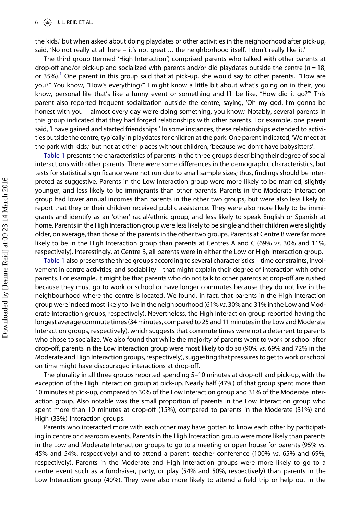the kids,' but when asked about doing playdates or other activities in the neighborhood after pick-up, said, 'No not really at all here – it's not great … the neighborhood itself, I don't really like it.'

The third group (termed 'High Interaction') comprised parents who talked with other parents at drop-off and/or pick-up and socialized with parents and/or did playdates outside the centre ( $n = 18$ , or 35%).<sup>1</sup> One parent in this group said that at pick-up, she would say to other parents, "How are you?" You know, "How's everything?" I might know a little bit about what's going on in their, you know, personal life that's like a funny event or something and I'll be like, "How did it go?"' This parent also reported frequent socialization outside the centre, saying, 'Oh my god, I'm gonna be honest with you – almost every day we're doing something, you know.' Notably, several parents in this group indicated that they had forged relationships with other parents. For example, one parent said, 'I have gained and started friendships.' In some instances, these relationships extended to activities outside the centre, typically in playdates for children at the park. One parent indicated, 'We meet at the park with kids,' but not at other places without children, 'because we don't have babysitters'.

Table 1 presents the characteristics of parents in the three groups describing their degree of social interactions with other parents. There were some differences in the demographic characteristics, but tests for statistical significance were not run due to small sample sizes; thus, findings should be interpreted as suggestive. Parents in the Low Interaction group were more likely to be married, slightly younger, and less likely to be immigrants than other parents. Parents in the Moderate Interaction group had lower annual incomes than parents in the other two groups, but were also less likely to report that they or their children received public assistance. They were also more likely to be immigrants and identify as an 'other' racial/ethnic group, and less likely to speak English or Spanish at home. Parents in the High Interaction group were less likely to be single and their children were slightly older, on average, than those of the parents in the other two groups. Parents at Centre B were far more likely to be in the High Interaction group than parents at Centres A and C (69% vs. 30% and 11%, respectively). Interestingly, at Centre B, all parents were in either the Low or High Interaction group.

Table 1 also presents the three groups according to several characteristics – time constraints, involvement in centre activities, and sociability – that might explain their degree of interaction with other parents. For example, it might be that parents who do not talk to other parents at drop-off are rushed because they must go to work or school or have longer commutes because they do not live in the neighbourhood where the centre is located. We found, in fact, that parents in the High Interaction group were indeed most likely to live in the neighbourhood (61% vs. 30% and 31% in the Low and Moderate Interaction groups, respectively). Nevertheless, the High Interaction group reported having the longest average commute times (34 minutes, compared to 25 and 11 minutes in the Low and Moderate Interaction groups, respectively), which suggests that commute times were not a deterrent to parents who chose to socialize. We also found that while the majority of parents went to work or school after drop-off, parents in the Low Interaction group were most likely to do so (90% vs. 69% and 72% in the Moderate and High Interaction groups, respectively), suggesting that pressures to get to work or school on time might have discouraged interactions at drop-off.

The plurality in all three groups reported spending 5–10 minutes at drop-off and pick-up, with the exception of the High Interaction group at pick-up. Nearly half (47%) of that group spent more than 10 minutes at pick-up, compared to 30% of the Low Interaction group and 31% of the Moderate Interaction group. Also notable was the small proportion of parents in the Low Interaction group who spent more than 10 minutes at drop-off (15%), compared to parents in the Moderate (31%) and High (33%) Interaction groups.

Parents who interacted more with each other may have gotten to know each other by participating in centre or classroom events. Parents in the High Interaction group were more likely than parents in the Low and Moderate Interaction groups to go to a meeting or open house for parents (95% vs. 45% and 54%, respectively) and to attend a parent–teacher conference (100% vs. 65% and 69%, respectively). Parents in the Moderate and High Interaction groups were more likely to go to a centre event such as a fundraiser, party, or play (54% and 50%, respectively) than parents in the Low Interaction group (40%). They were also more likely to attend a field trip or help out in the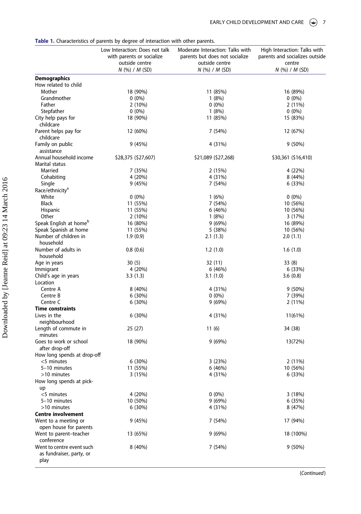#### Table 1. Characteristics of parents by degree of interaction with other parents.

|                                                               | Low Interaction: Does not talk<br>with parents or socialize<br>outside centre<br>$N$ (%) / M (SD) | Moderate Interaction: Talks with<br>parents but does not socialize<br>outside centre<br>$N$ (%) / M (SD) | High Interaction: Talks with<br>parents and socializes outside<br>centre<br>$N$ (%) / $M$ (SD) |
|---------------------------------------------------------------|---------------------------------------------------------------------------------------------------|----------------------------------------------------------------------------------------------------------|------------------------------------------------------------------------------------------------|
| <b>Demographics</b>                                           |                                                                                                   |                                                                                                          |                                                                                                |
| How related to child                                          |                                                                                                   |                                                                                                          |                                                                                                |
| Mother                                                        | 18 (90%)                                                                                          | 11 (85%)                                                                                                 | 16 (89%)                                                                                       |
| Grandmother                                                   | $0(0\%)$                                                                                          | 1(8%)                                                                                                    | $0(0\%)$                                                                                       |
| Father                                                        | 2(10%)                                                                                            | $0(0\%)$                                                                                                 | 2(11%)                                                                                         |
| Stepfather                                                    | $0(0\%)$                                                                                          | 1(8%)                                                                                                    | $0(0\%)$                                                                                       |
| City help pays for<br>childcare                               | 18 (90%)                                                                                          | 11 (85%)                                                                                                 | 15 (83%)                                                                                       |
| Parent helps pay for<br>childcare                             | 12 (60%)                                                                                          | 7 (54%)                                                                                                  | 12 (67%)                                                                                       |
| Family on public<br>assistance                                | 9(45%)                                                                                            | 4 (31%)                                                                                                  | $9(50\%)$                                                                                      |
| Annual household income                                       | \$28,375 (\$27,607)                                                                               | \$21,089 (\$27,268)                                                                                      | \$30,361 (\$16,410)                                                                            |
| Marital status                                                |                                                                                                   |                                                                                                          |                                                                                                |
| Married                                                       | 7 (35%)                                                                                           | 2(15%)                                                                                                   | 4 (22%)                                                                                        |
| Cohabiting                                                    | 4 (20%)                                                                                           | 4 (31%)                                                                                                  | 8(44%)                                                                                         |
| Single                                                        | 9(45%)                                                                                            | 7 (54%)                                                                                                  | 6(33%)                                                                                         |
| Race/ethnicity <sup>a</sup>                                   |                                                                                                   |                                                                                                          |                                                                                                |
| White                                                         | $0(0\%)$                                                                                          | 1(6%)                                                                                                    | $0(0\%)$                                                                                       |
| <b>Black</b>                                                  | 11 (55%)                                                                                          | 7 (54%)                                                                                                  | 10 (56%)                                                                                       |
| Hispanic                                                      | 11 (55%)                                                                                          | 6(46%)                                                                                                   | 10 (56%)                                                                                       |
| Other                                                         | $2(10\%)$                                                                                         | 1(8%)                                                                                                    | 3(17%)                                                                                         |
| Speak English at home <sup>b</sup>                            | 16 (80%)                                                                                          | 9(69%)                                                                                                   | 16 (89%)                                                                                       |
| Speak Spanish at home                                         | 11 (55%)                                                                                          | 5(38%)                                                                                                   | 10 (56%)                                                                                       |
| Number of children in<br>household                            | 1.9(0.9)                                                                                          | 2.1(1.3)                                                                                                 | 2.0(1.1)                                                                                       |
| Number of adults in                                           | 0.8(0.6)                                                                                          | 1.2(1.0)                                                                                                 | 1.6(1.0)                                                                                       |
| household                                                     |                                                                                                   |                                                                                                          |                                                                                                |
| Age in years                                                  | 30(5)                                                                                             | 32 (11)                                                                                                  | 33(8)                                                                                          |
| Immigrant                                                     | 4 (20%)                                                                                           | 6(46%)                                                                                                   | 6(33%)                                                                                         |
| Child's age in years                                          | 3.3(1.3)                                                                                          | 3.1(1.0)                                                                                                 | 3.6(0.8)                                                                                       |
| Location                                                      |                                                                                                   |                                                                                                          |                                                                                                |
| Centre A                                                      | 8(40%)                                                                                            | 4 (31%)                                                                                                  | $9(50\%)$                                                                                      |
| Centre B                                                      | 6(30%)                                                                                            | $0(0\%)$                                                                                                 | 7 (39%)                                                                                        |
| Centre C                                                      | 6(30%)                                                                                            | 9(69%)                                                                                                   | 2(11%)                                                                                         |
| <b>Time constraints</b>                                       |                                                                                                   |                                                                                                          |                                                                                                |
| Lives in the                                                  | 6(30%)                                                                                            | 4 (31%)                                                                                                  | 11(61%)                                                                                        |
| neighbourhood                                                 |                                                                                                   |                                                                                                          |                                                                                                |
| Length of commute in<br>minutes                               | 25 (27)                                                                                           | 11 (6)                                                                                                   | 34 (38)                                                                                        |
| Goes to work or school                                        | 18 (90%)                                                                                          | 9(69%)                                                                                                   | 13(72%)                                                                                        |
| after drop-off                                                |                                                                                                   |                                                                                                          |                                                                                                |
| How long spends at drop-off                                   |                                                                                                   |                                                                                                          |                                                                                                |
| <5 minutes                                                    | 6(30%)                                                                                            | 3(23%)                                                                                                   | $2(11\%)$                                                                                      |
| 5-10 minutes                                                  | 11 (55%)                                                                                          | 6 (46%)                                                                                                  | 10 (56%)                                                                                       |
| >10 minutes                                                   | 3 (15%)                                                                                           | 4 (31%)                                                                                                  | 6 (33%)                                                                                        |
| How long spends at pick-<br>up                                |                                                                                                   |                                                                                                          |                                                                                                |
| <5 minutes                                                    | 4 (20%)                                                                                           | $0(0\%)$                                                                                                 | 3(18%)                                                                                         |
| 5-10 minutes                                                  | 10 (50%)                                                                                          | 9 (69%)                                                                                                  | 6 (35%)                                                                                        |
| >10 minutes                                                   | 6(30%)                                                                                            | 4 (31%)                                                                                                  | 8 (47%)                                                                                        |
| <b>Centre involvement</b>                                     |                                                                                                   |                                                                                                          |                                                                                                |
| Went to a meeting or                                          | 9 (45%)                                                                                           | 7 (54%)                                                                                                  | 17 (94%)                                                                                       |
| open house for parents                                        |                                                                                                   |                                                                                                          |                                                                                                |
| Went to parent-teacher<br>conference                          | 13 (65%)                                                                                          | 9(69%)                                                                                                   | 18 (100%)                                                                                      |
| Went to centre event such<br>as fundraiser, party, or<br>play | 8 (40%)                                                                                           | 7 (54%)                                                                                                  | $9(50\%)$                                                                                      |

(Continued)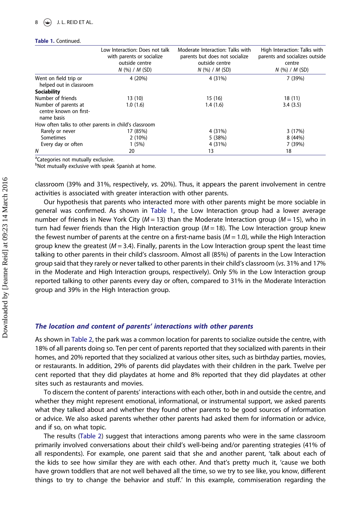#### Table 1. Continued.

|                                                              | Low Interaction: Does not talk<br>with parents or socialize<br>outside centre<br>$N$ (%) / $M$ (SD) | Moderate Interaction: Talks with<br>parents but does not socialize<br>outside centre<br>$N$ (%) / $M$ (SD) | High Interaction: Talks with<br>parents and socializes outside<br>centre<br>$N$ (%) / M (SD) |
|--------------------------------------------------------------|-----------------------------------------------------------------------------------------------------|------------------------------------------------------------------------------------------------------------|----------------------------------------------------------------------------------------------|
| Went on field trip or<br>helped out in classroom             | 4 (20%)                                                                                             | 4 (31%)                                                                                                    | 7 (39%)                                                                                      |
| Sociability                                                  |                                                                                                     |                                                                                                            |                                                                                              |
| Number of friends                                            | 13(10)                                                                                              | 15(16)                                                                                                     | 18(11)                                                                                       |
| Number of parents at<br>centre known on first-<br>name basis | 1.0(1.6)                                                                                            | 1.4(1.6)                                                                                                   | 3.4(3.5)                                                                                     |
| How often talks to other parents in child's classroom        |                                                                                                     |                                                                                                            |                                                                                              |
| Rarely or never                                              | 17 (85%)                                                                                            | 4 (31%)                                                                                                    | 3(17%)                                                                                       |
| Sometimes                                                    | 2(10%)                                                                                              | 5(38%)                                                                                                     | 8 (44%)                                                                                      |
| Every day or often                                           | 1(5%)                                                                                               | 4 (31%)                                                                                                    | 7 (39%)                                                                                      |
| Ν                                                            | 20                                                                                                  | 13                                                                                                         | 18                                                                                           |

<sup>a</sup>Categories not mutually exclusive.

bNot mutually exclusive with speak Spanish at home.

classroom (39% and 31%, respectively, vs. 20%). Thus, it appears the parent involvement in centre activities is associated with greater interaction with other parents.

Our hypothesis that parents who interacted more with other parents might be more sociable in general was confirmed. As shown in Table 1, the Low Interaction group had a lower average number of friends in New York City ( $M = 13$ ) than the Moderate Interaction group ( $M = 15$ ), who in turn had fewer friends than the High Interaction group ( $M = 18$ ). The Low Interaction group knew the fewest number of parents at the centre on a first-name basis ( $M = 1.0$ ), while the High Interaction group knew the greatest ( $M = 3.4$ ). Finally, parents in the Low Interaction group spent the least time talking to other parents in their child's classroom. Almost all (85%) of parents in the Low Interaction group said that they rarely or never talked to other parents in their child's classroom (vs. 31% and 17% in the Moderate and High Interaction groups, respectively). Only 5% in the Low Interaction group reported talking to other parents every day or often, compared to 31% in the Moderate Interaction group and 39% in the High Interaction group.

#### The location and content of parents' interactions with other parents

As shown in Table 2, the park was a common location for parents to socialize outside the centre, with 18% of all parents doing so. Ten per cent of parents reported that they socialized with parents in their homes, and 20% reported that they socialized at various other sites, such as birthday parties, movies, or restaurants. In addition, 29% of parents did playdates with their children in the park. Twelve per cent reported that they did playdates at home and 8% reported that they did playdates at other sites such as restaurants and movies.

To discern the content of parents' interactions with each other, both in and outside the centre, and whether they might represent emotional, informational, or instrumental support, we asked parents what they talked about and whether they found other parents to be good sources of information or advice. We also asked parents whether other parents had asked them for information or advice, and if so, on what topic.

The results (Table 2) suggest that interactions among parents who were in the same classroom primarily involved conversations about their child's well-being and/or parenting strategies (41% of all respondents). For example, one parent said that she and another parent, 'talk about each of the kids to see how similar they are with each other. And that's pretty much it, 'cause we both have grown toddlers that are not well behaved all the time, so we try to see like, you know, different things to try to change the behavior and stuff.' In this example, commiseration regarding the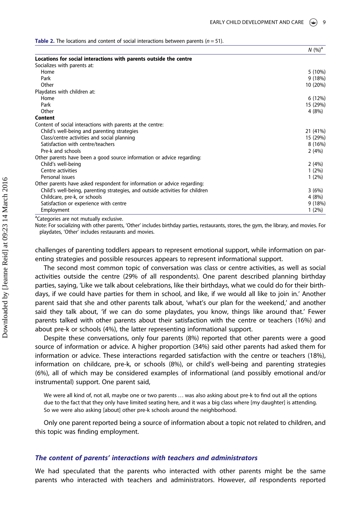$\frac{1}{10}$ 

**Table 2.** The locations and content of social interactions between parents ( $n = 51$ ).

|                                                                               | IV(90)   |
|-------------------------------------------------------------------------------|----------|
| Locations for social interactions with parents outside the centre             |          |
| Socializes with parents at:                                                   |          |
| Home                                                                          | 5 (10%)  |
| Park                                                                          | 9(18%)   |
| Other                                                                         | 10 (20%) |
| Playdates with children at:                                                   |          |
| Home                                                                          | 6(12%)   |
| Park                                                                          | 15 (29%) |
| Other                                                                         | 4(8%)    |
| Content                                                                       |          |
| Content of social interactions with parents at the centre:                    |          |
| Child's well-being and parenting strategies                                   | 21 (41%) |
| Class/centre activities and social planning                                   | 15 (29%) |
| Satisfaction with centre/teachers                                             | 8(16%)   |
| Pre-k and schools                                                             | 2(4%)    |
| Other parents have been a good source information or advice regarding:        |          |
| Child's well-being                                                            | 2(4%)    |
| Centre activities                                                             | 1(2%)    |
| Personal issues                                                               | $1(2\%)$ |
| Other parents have asked respondent for information or advice regarding:      |          |
| Child's well-being, parenting strategies, and outside activities for children | 3(6%)    |
| Childcare, pre-k, or schools                                                  | 4(8%)    |
| Satisfaction or experience with centre                                        | 9(18%)   |
| Employment                                                                    | $1(2\%)$ |

<sup>a</sup>Categories are not mutually exclusive.

Note: For socializing with other parents, 'Other' includes birthday parties, restaurants, stores, the gym, the library, and movies. For playdates, 'Other' includes restaurants and movies.

challenges of parenting toddlers appears to represent emotional support, while information on parenting strategies and possible resources appears to represent informational support.

The second most common topic of conversation was class or centre activities, as well as social activities outside the centre (29% of all respondents). One parent described planning birthday parties, saying, 'Like we talk about celebrations, like their birthdays, what we could do for their birthdays, if we could have parties for them in school, and like, if we would all like to join in.' Another parent said that she and other parents talk about, 'what's our plan for the weekend,' and another said they talk about, 'if we can do some playdates, you know, things like around that.' Fewer parents talked with other parents about their satisfaction with the centre or teachers (16%) and about pre-k or schools (4%), the latter representing informational support.

Despite these conversations, only four parents (8%) reported that other parents were a good source of information or advice. A higher proportion (34%) said other parents had asked them for information or advice. These interactions regarded satisfaction with the centre or teachers (18%), information on childcare, pre-k, or schools (8%), or child's well-being and parenting strategies (6%), all of which may be considered examples of informational (and possibly emotional and/or instrumental) support. One parent said,

We were all kind of, not all, maybe one or two parents … was also asking about pre-k to find out all the options due to the fact that they only have limited seating here, and it was a big class where [my daughter] is attending. So we were also asking [about] other pre-k schools around the neighborhood.

Only one parent reported being a source of information about a topic not related to children, and this topic was finding employment.

#### The content of parents' interactions with teachers and administrators

We had speculated that the parents who interacted with other parents might be the same parents who interacted with teachers and administrators. However, all respondents reported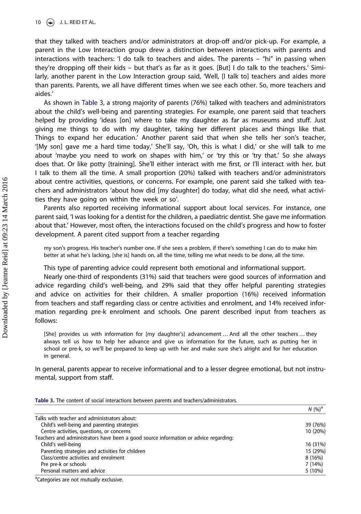that they talked with teachers and/or administrators at drop-off and/or pick-up. For example, a parent in the Low Interaction group drew a distinction between interactions with parents and interactions with teachers: 'I do talk to teachers and aides. The parents – "hi" in passing when they're dropping off their kids – but that's as far as it goes. [But] I do talk to the teachers.' Similarly, another parent in the Low Interaction group said, 'Well, [I talk to] teachers and aides more than parents. Parents, we all have different times when we see each other. So, more teachers and aides.'

As shown in Table 3, a strong majority of parents (76%) talked with teachers and administrators about the child's well-being and parenting strategies. For example, one parent said that teachers helped by providing 'ideas [on] where to take my daughter as far as museums and stuff. Just giving me things to do with my daughter, taking her different places and things like that. Things to expand her education.' Another parent said that when she tells her son's teacher, '[My son] gave me a hard time today,' She'll say, 'Oh, this is what I did,' or she will talk to me about 'maybe you need to work on shapes with him,' or 'try this or 'try that.' So she always does that. Or like potty [training]. She'll either interact with me first, or I'll interact with her, but I talk to them all the time. A small proportion (20%) talked with teachers and/or administrators about centre activities, questions, or concerns. For example, one parent said she talked with teachers and administrators 'about how did [my daughter] do today, what did she need, what activities they have going on within the week or so'.

Parents also reported receiving informational support about local services. For instance, one parent said, 'I was looking for a dentist for the children, a paediatric dentist. She gave me information about that.' However, most often, the interactions focused on the child's progress and how to foster development. A parent cited support from a teacher regarding

my son's progress. His teacher's number one. If she sees a problem, if there's something I can do to make him better at what he's lacking, [she is] hands on, all the time, telling me what needs to be done, all the time.

This type of parenting advice could represent both emotional and informational support.

Nearly one-third of respondents (31%) said that teachers were good sources of information and advice regarding child's well-being, and 29% said that they offer helpful parenting strategies and advice on activities for their children. A smaller proportion (16%) received information from teachers and staff regarding class or centre activities and enrolment, and 14% received information regarding pre-k enrolment and schools. One parent described input from teachers as follows:

[She] provides us with information for [my daughter's] advancement … And all the other teachers … they always tell us how to help her advance and give us information for the future, such as putting her in school or pre-k, so we'll be prepared to keep up with her and make sure she's alright and for her education in general.

In general, parents appear to receive informational and to a lesser degree emotional, but not instrumental, support from staff.

|                                                                                      | $N(%)^a$ |
|--------------------------------------------------------------------------------------|----------|
| Talks with teacher and administrators about:                                         |          |
| Child's well-being and parenting strategies                                          | 39 (76%) |
| Centre activities, questions, or concerns                                            | 10 (20%) |
| Teachers and administrators have been a good source information or advice regarding: |          |
| Child's well-being                                                                   | 16 (31%) |
| Parenting strategies and activities for children                                     | 15 (29%) |
| Class/centre activities and enrolment                                                | 8 (16%)  |
| Pre pre-k or schools                                                                 | 7 (14%)  |
| Personal matters and advice                                                          | 5(10%)   |

Table 3. The content of social interactions between parents and teachers/administrators.

<sup>a</sup>Categories are not mutually exclusive.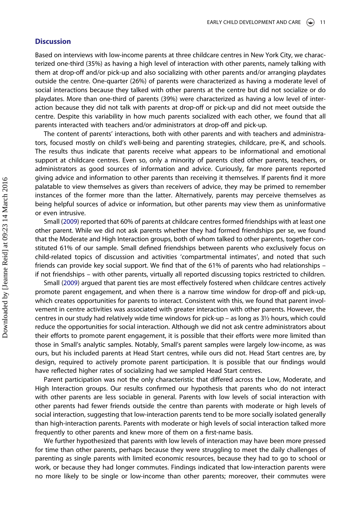### **Discussion**

Based on interviews with low-income parents at three childcare centres in New York City, we characterized one-third (35%) as having a high level of interaction with other parents, namely talking with them at drop-off and/or pick-up and also socializing with other parents and/or arranging playdates outside the centre. One-quarter (26%) of parents were characterized as having a moderate level of social interactions because they talked with other parents at the centre but did not socialize or do playdates. More than one-third of parents (39%) were characterized as having a low level of interaction because they did not talk with parents at drop-off or pick-up and did not meet outside the centre. Despite this variability in how much parents socialized with each other, we found that all parents interacted with teachers and/or administrators at drop-off and pick-up.

The content of parents' interactions, both with other parents and with teachers and administrators, focused mostly on child's well-being and parenting strategies, childcare, pre-K, and schools. The results thus indicate that parents receive what appears to be informational and emotional support at childcare centres. Even so, only a minority of parents cited other parents, teachers, or administrators as good sources of information and advice. Curiously, far more parents reported giving advice and information to other parents than receiving it themselves. If parents find it more palatable to view themselves as givers than receivers of advice, they may be primed to remember instances of the former more than the latter. Alternatively, parents may perceive themselves as being helpful sources of advice or information, but other parents may view them as uninformative or even intrusive.

Small (2009) reported that 60% of parents at childcare centres formed friendships with at least one other parent. While we did not ask parents whether they had formed friendships per se, we found that the Moderate and High Interaction groups, both of whom talked to other parents, together constituted 61% of our sample. Small defined friendships between parents who exclusively focus on child-related topics of discussion and activities 'compartmental intimates', and noted that such friends can provide key social support. We find that of the 61% of parents who had relationships – if not friendships – with other parents, virtually all reported discussing topics restricted to children.

Small (2009) argued that parent ties are most effectively fostered when childcare centres actively promote parent engagement, and when there is a narrow time window for drop-off and pick-up, which creates opportunities for parents to interact. Consistent with this, we found that parent involvement in centre activities was associated with greater interaction with other parents. However, the centres in our study had relatively wide time windows for pick-up – as long as 3½ hours, which could reduce the opportunities for social interaction. Although we did not ask centre administrators about their efforts to promote parent engagement, it is possible that their efforts were more limited than those in Small's analytic samples. Notably, Small's parent samples were largely low-income, as was ours, but his included parents at Head Start centres, while ours did not. Head Start centres are, by design, required to actively promote parent participation. It is possible that our findings would have reflected higher rates of socializing had we sampled Head Start centres.

Parent participation was not the only characteristic that differed across the Low, Moderate, and High Interaction groups. Our results confirmed our hypothesis that parents who do not interact with other parents are less sociable in general. Parents with low levels of social interaction with other parents had fewer friends outside the centre than parents with moderate or high levels of social interaction, suggesting that low-interaction parents tend to be more socially isolated generally than high-interaction parents. Parents with moderate or high levels of social interaction talked more frequently to other parents and knew more of them on a first-name basis.

We further hypothesized that parents with low levels of interaction may have been more pressed for time than other parents, perhaps because they were struggling to meet the daily challenges of parenting as single parents with limited economic resources, because they had to go to school or work, or because they had longer commutes. Findings indicated that low-interaction parents were no more likely to be single or low-income than other parents; moreover, their commutes were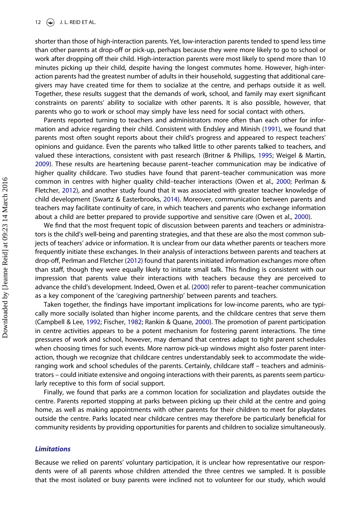shorter than those of high-interaction parents. Yet, low-interaction parents tended to spend less time than other parents at drop-off or pick-up, perhaps because they were more likely to go to school or work after dropping off their child. High-interaction parents were most likely to spend more than 10 minutes picking up their child, despite having the longest commutes home. However, high-interaction parents had the greatest number of adults in their household, suggesting that additional caregivers may have created time for them to socialize at the centre, and perhaps outside it as well. Together, these results suggest that the demands of work, school, and family may exert significant constraints on parents' ability to socialize with other parents. It is also possible, however, that parents who go to work or school may simply have less need for social contact with others.

Parents reported turning to teachers and administrators more often than each other for information and advice regarding their child. Consistent with Endsley and Minish (1991), we found that parents most often sought reports about their child's progress and appeared to respect teachers' opinions and guidance. Even the parents who talked little to other parents talked to teachers, and valued these interactions, consistent with past research (Britner & Phillips, 1995; Weigel & Martin, 2009). These results are heartening because parent–teacher communication may be indicative of higher quality childcare. Two studies have found that parent–teacher communication was more common in centres with higher quality child–teacher interactions (Owen et al., 2000; Perlman & Fletcher, 2012), and another study found that it was associated with greater teacher knowledge of child development (Swartz & Easterbrooks, 2014). Moreover, communication between parents and teachers may facilitate continuity of care, in which teachers and parents who exchange information about a child are better prepared to provide supportive and sensitive care (Owen et al., 2000).

We find that the most frequent topic of discussion between parents and teachers or administrators is the child's well-being and parenting strategies, and that these are also the most common subjects of teachers' advice or information. It is unclear from our data whether parents or teachers more frequently initiate these exchanges. In their analysis of interactions between parents and teachers at drop-off, Perlman and Fletcher (2012) found that parents initiated information exchanges more often than staff, though they were equally likely to initiate small talk. This finding is consistent with our impression that parents value their interactions with teachers because they are perceived to advance the child's development. Indeed, Owen et al. (2000) refer to parent–teacher communication as a key component of the 'caregiving partnership' between parents and teachers.

Taken together, the findings have important implications for low-income parents, who are typically more socially isolated than higher income parents, and the childcare centres that serve them (Campbell & Lee, 1992; Fischer, 1982; Rankin & Quane, 2000). The promotion of parent participation in centre activities appears to be a potent mechanism for fostering parent interactions. The time pressures of work and school, however, may demand that centres adapt to tight parent schedules when choosing times for such events. More narrow pick-up windows might also foster parent interaction, though we recognize that childcare centres understandably seek to accommodate the wideranging work and school schedules of the parents. Certainly, childcare staff – teachers and administrators – could initiate extensive and ongoing interactions with their parents, as parents seem particularly receptive to this form of social support.

Finally, we found that parks are a common location for socialization and playdates outside the centre. Parents reported stopping at parks between picking up their child at the centre and going home, as well as making appointments with other parents for their children to meet for playdates outside the centre. Parks located near childcare centres may therefore be particularly beneficial for community residents by providing opportunities for parents and children to socialize simultaneously.

#### **Limitations**

Because we relied on parents' voluntary participation, it is unclear how representative our respondents were of all parents whose children attended the three centres we sampled. It is possible that the most isolated or busy parents were inclined not to volunteer for our study, which would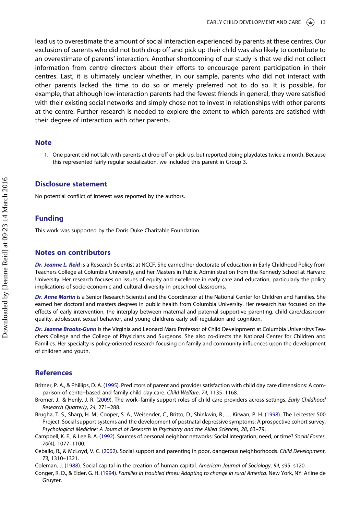lead us to overestimate the amount of social interaction experienced by parents at these centres. Our exclusion of parents who did not both drop off and pick up their child was also likely to contribute to an overestimate of parents' interaction. Another shortcoming of our study is that we did not collect information from centre directors about their efforts to encourage parent participation in their centres. Last, it is ultimately unclear whether, in our sample, parents who did not interact with other parents lacked the time to do so or merely preferred not to do so. It is possible, for example, that although low-interaction parents had the fewest friends in general, they were satisfied with their existing social networks and simply chose not to invest in relationships with other parents at the centre. Further research is needed to explore the extent to which parents are satisfied with their degree of interaction with other parents.

#### **Note**

1. One parent did not talk with parents at drop-off or pick-up, but reported doing playdates twice a month. Because this represented fairly regular socialization, we included this parent in Group 3.

## Disclosure statement

No potential conflict of interest was reported by the authors.

### Funding

This work was supported by the Doris Duke Charitable Foundation.

#### Notes on contributors

Dr. Jeanne L. Reid is a Research Scientist at NCCF. She earned her doctorate of education in Early Childhood Policy from Teachers College at Columbia University, and her Masters in Public Administration from the Kennedy School at Harvard University. Her research focuses on issues of equity and excellence in early care and education, particularly the policy implications of socio-economic and cultural diversity in preschool classrooms.

Dr. Anne Martin is a Senior Research Scientist and the Coordinator at the National Center for Children and Families. She earned her doctoral and masters degrees in public health from Columbia University. Her research has focused on the effects of early intervention, the interplay between maternal and paternal supportive parenting, child care/classroom quality, adolescent sexual behavior, and young childrens early self-regulation and cognition.

Dr. Jeanne Brooks-Gunn is the Virginia and Leonard Marx Professor of Child Development at Columbia Universitys Teachers College and the College of Physicians and Surgeons. She also co-directs the National Center for Children and Families. Her specialty is policy-oriented research focusing on family and community influences upon the development of children and youth.

#### **References**

- Britner, P. A., & Phillips, D. A. (1995). Predictors of parent and provider satisfaction with child day care dimensions: A comparison of center-based and family child day care. Child Welfare, 74, 1135–1168.
- Bromer, J., & Henly, J. R. (2009). The work–family support roles of child care providers across settings. Early Childhood Research Quarterly, 24, 271–288.
- Brugha, T. S., Sharp, H. M., Cooper, S. A., Weisender, C., Britto, D., Shinkwin, R., … Kirwan, P. H. (1998). The Leicester 500 Project. Social support systems and the development of postnatal depressive symptoms: A prospective cohort survey. Psychological Medicine: A Journal of Research in Psychiatry and the Allied Sciences, 28, 63–79.
- Campbell, K. E., & Lee B. A. (1992). Sources of personal neighbor networks: Social integration, need, or time? Social Forces, 70(4), 1077–1100.
- Ceballo, R., & McLoyd, V. C. (2002). Social support and parenting in poor, dangerous neighborhoods. Child Development, 73, 1310–1321.

Coleman, J. (1988). Social capital in the creation of human capital. American Journal of Sociology, 94, s95–s120.

Conger, R. D., & Elder, G. H. (1994). Families in troubled times: Adapting to change in rural America. New York, NY: Arline de Gruyter.